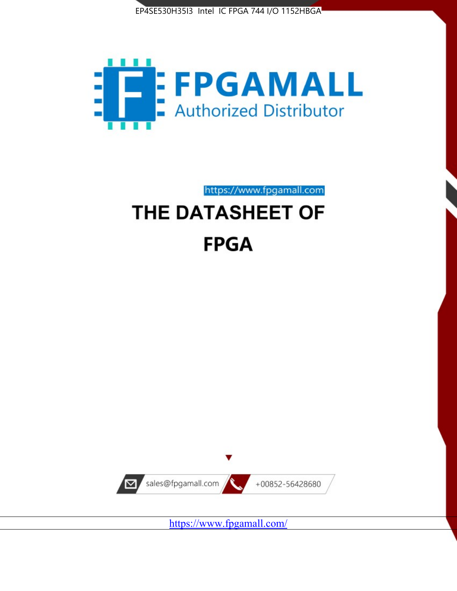



https://www.fpgamall.com

# THE DATASHEET OF **FPGA**



<https://www.fpgamall.com/>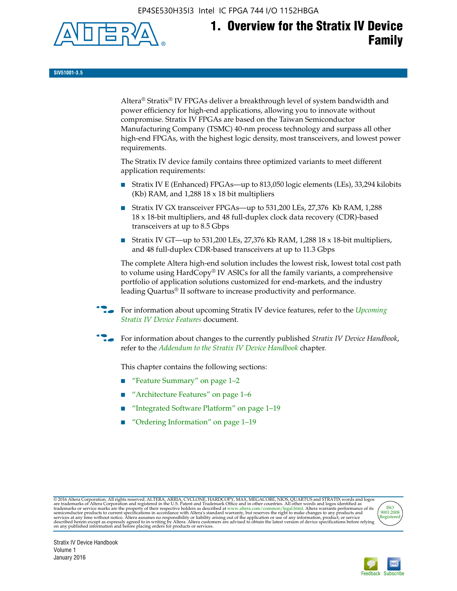EP4SE530H35I3 Intel IC FPGA 744 I/O 1152HBGA



**SIV51001-3.5**

Altera® Stratix® IV FPGAs deliver a breakthrough level of system bandwidth and power efficiency for high-end applications, allowing you to innovate without compromise. Stratix IV FPGAs are based on the Taiwan Semiconductor Manufacturing Company (TSMC) 40-nm process technology and surpass all other high-end FPGAs, with the highest logic density, most transceivers, and lowest power requirements.

The Stratix IV device family contains three optimized variants to meet different application requirements:

- Stratix IV E (Enhanced) FPGAs—up to 813,050 logic elements (LEs), 33,294 kilobits (Kb) RAM, and 1,288 18 x 18 bit multipliers
- Stratix IV GX transceiver FPGAs—up to 531,200 LEs, 27,376 Kb RAM, 1,288 18 x 18-bit multipliers, and 48 full-duplex clock data recovery (CDR)-based transceivers at up to 8.5 Gbps
- Stratix IV GT—up to 531,200 LEs, 27,376 Kb RAM, 1,288 18 x 18-bit multipliers, and 48 full-duplex CDR-based transceivers at up to 11.3 Gbps

The complete Altera high-end solution includes the lowest risk, lowest total cost path to volume using HardCopy® IV ASICs for all the family variants, a comprehensive portfolio of application solutions customized for end-markets, and the industry leading Quartus® II software to increase productivity and performance.

For information about upcoming Stratix IV device features, refer to the *Upcoming [Stratix IV Device Features](http://www.altera.com/literature/hb/stratix-iv/uf01001.pdf?GSA_pos=2&WT.oss_r=1&WT.oss=upcoming)* document.

f For information about changes to the currently published *Stratix IV Device Handbook*, refer to the *[Addendum to the Stratix IV Device Handbook](http://www.altera.com/literature/hb/stratix-iv/stx4_siv54002.pdf)* chapter.

This chapter contains the following sections:

- "Feature Summary" on page 1–2
- "Architecture Features" on page 1–6
- "Integrated Software Platform" on page 1–19
- "Ordering Information" on page 1–19

@2016 Altera Corporation. All rights reserved. ALTERA, ARRIA, CYCLONE, HARDCOPY, MAX, MEGACORE, NIOS, QUARTUS and STRATIX words and logos are trademarks of Altera Corporation and registered in the U.S. Patent and Trademark



Stratix IV Device Handbook Volume 1 January 2016

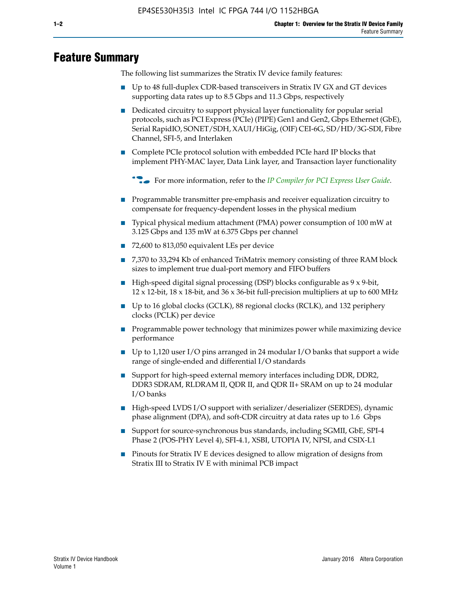# **Feature Summary**

The following list summarizes the Stratix IV device family features:

- Up to 48 full-duplex CDR-based transceivers in Stratix IV GX and GT devices supporting data rates up to 8.5 Gbps and 11.3 Gbps, respectively
- Dedicated circuitry to support physical layer functionality for popular serial protocols, such as PCI Express (PCIe) (PIPE) Gen1 and Gen2, Gbps Ethernet (GbE), Serial RapidIO, SONET/SDH, XAUI/HiGig, (OIF) CEI-6G, SD/HD/3G-SDI, Fibre Channel, SFI-5, and Interlaken
- Complete PCIe protocol solution with embedded PCIe hard IP blocks that implement PHY-MAC layer, Data Link layer, and Transaction layer functionality

**For more information, refer to the** *[IP Compiler for PCI Express User Guide](http://www.altera.com/literature/ug/ug_pci_express.pdf)***.** 

- Programmable transmitter pre-emphasis and receiver equalization circuitry to compensate for frequency-dependent losses in the physical medium
- Typical physical medium attachment (PMA) power consumption of 100 mW at 3.125 Gbps and 135 mW at 6.375 Gbps per channel
- 72,600 to 813,050 equivalent LEs per device
- 7,370 to 33,294 Kb of enhanced TriMatrix memory consisting of three RAM block sizes to implement true dual-port memory and FIFO buffers
- High-speed digital signal processing (DSP) blocks configurable as 9 x 9-bit,  $12 \times 12$ -bit,  $18 \times 18$ -bit, and  $36 \times 36$ -bit full-precision multipliers at up to 600 MHz
- Up to 16 global clocks (GCLK), 88 regional clocks (RCLK), and 132 periphery clocks (PCLK) per device
- Programmable power technology that minimizes power while maximizing device performance
- Up to 1,120 user I/O pins arranged in 24 modular I/O banks that support a wide range of single-ended and differential I/O standards
- Support for high-speed external memory interfaces including DDR, DDR2, DDR3 SDRAM, RLDRAM II, QDR II, and QDR II+ SRAM on up to 24 modular I/O banks
- High-speed LVDS I/O support with serializer/deserializer (SERDES), dynamic phase alignment (DPA), and soft-CDR circuitry at data rates up to 1.6 Gbps
- Support for source-synchronous bus standards, including SGMII, GbE, SPI-4 Phase 2 (POS-PHY Level 4), SFI-4.1, XSBI, UTOPIA IV, NPSI, and CSIX-L1
- Pinouts for Stratix IV E devices designed to allow migration of designs from Stratix III to Stratix IV E with minimal PCB impact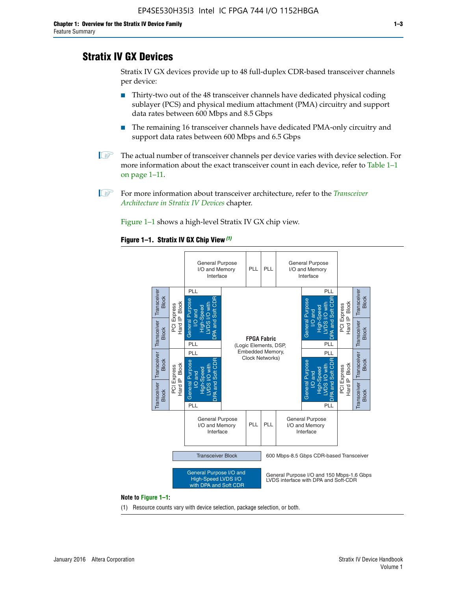# **Stratix IV GX Devices**

Stratix IV GX devices provide up to 48 full-duplex CDR-based transceiver channels per device:

- Thirty-two out of the 48 transceiver channels have dedicated physical coding sublayer (PCS) and physical medium attachment (PMA) circuitry and support data rates between 600 Mbps and 8.5 Gbps
- The remaining 16 transceiver channels have dedicated PMA-only circuitry and support data rates between 600 Mbps and 6.5 Gbps
- **1 The actual number of transceiver channels per device varies with device selection. For** more information about the exact transceiver count in each device, refer to Table 1–1 on page 1–11.
- 1 For more information about transceiver architecture, refer to the *[Transceiver](http://www.altera.com/literature/hb/stratix-iv/stx4_siv52001.pdf)  [Architecture in Stratix IV Devices](http://www.altera.com/literature/hb/stratix-iv/stx4_siv52001.pdf)* chapter.

Figure 1–1 shows a high-level Stratix IV GX chip view.

#### **Figure 1–1. Stratix IV GX Chip View** *(1)*



#### **Note to Figure 1–1:**

(1) Resource counts vary with device selection, package selection, or both.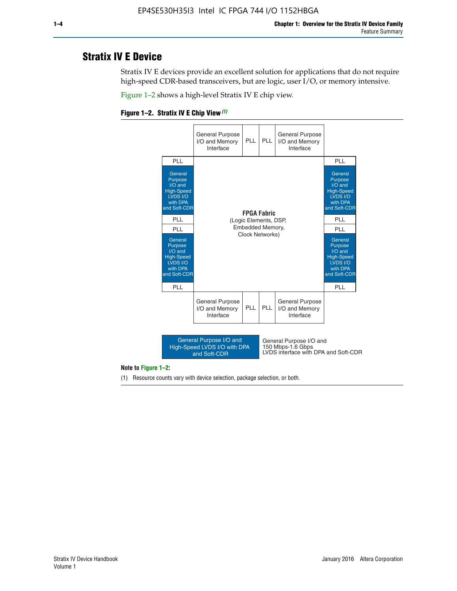# **Stratix IV E Device**

Stratix IV E devices provide an excellent solution for applications that do not require high-speed CDR-based transceivers, but are logic, user I/O, or memory intensive.

Figure 1–2 shows a high-level Stratix IV E chip view.

#### **Figure 1–2. Stratix IV E Chip View** *(1)*



#### **Note to Figure 1–2:**

(1) Resource counts vary with device selection, package selection, or both.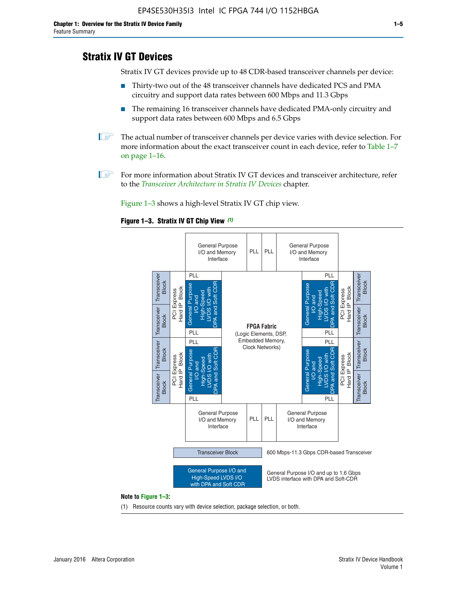# **Stratix IV GT Devices**

Stratix IV GT devices provide up to 48 CDR-based transceiver channels per device:

- Thirty-two out of the 48 transceiver channels have dedicated PCS and PMA circuitry and support data rates between 600 Mbps and 11.3 Gbps
- The remaining 16 transceiver channels have dedicated PMA-only circuitry and support data rates between 600 Mbps and 6.5 Gbps
- **1** The actual number of transceiver channels per device varies with device selection. For more information about the exact transceiver count in each device, refer to Table 1–7 on page 1–16.
- $\mathbb{I}$  For more information about Stratix IV GT devices and transceiver architecture, refer to the *[Transceiver Architecture in Stratix IV Devices](http://www.altera.com/literature/hb/stratix-iv/stx4_siv52001.pdf)* chapter.

Figure 1–3 shows a high-level Stratix IV GT chip view.

#### **Figure 1–3. Stratix IV GT Chip View** *(1)*



(1) Resource counts vary with device selection, package selection, or both.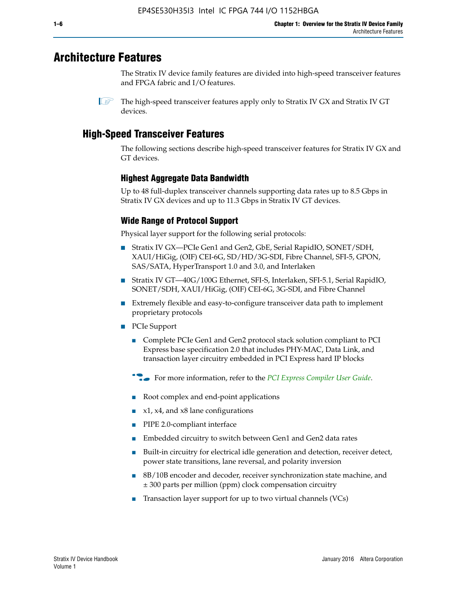# **Architecture Features**

The Stratix IV device family features are divided into high-speed transceiver features and FPGA fabric and I/O features.

 $\mathbb{I}$  The high-speed transceiver features apply only to Stratix IV GX and Stratix IV GT devices.

# **High-Speed Transceiver Features**

The following sections describe high-speed transceiver features for Stratix IV GX and GT devices.

# **Highest Aggregate Data Bandwidth**

Up to 48 full-duplex transceiver channels supporting data rates up to 8.5 Gbps in Stratix IV GX devices and up to 11.3 Gbps in Stratix IV GT devices.

# **Wide Range of Protocol Support**

Physical layer support for the following serial protocols:

- Stratix IV GX—PCIe Gen1 and Gen2, GbE, Serial RapidIO, SONET/SDH, XAUI/HiGig, (OIF) CEI-6G, SD/HD/3G-SDI, Fibre Channel, SFI-5, GPON, SAS/SATA, HyperTransport 1.0 and 3.0, and Interlaken
- Stratix IV GT—40G/100G Ethernet, SFI-S, Interlaken, SFI-5.1, Serial RapidIO, SONET/SDH, XAUI/HiGig, (OIF) CEI-6G, 3G-SDI, and Fibre Channel
- Extremely flexible and easy-to-configure transceiver data path to implement proprietary protocols
- PCIe Support
	- Complete PCIe Gen1 and Gen2 protocol stack solution compliant to PCI Express base specification 2.0 that includes PHY-MAC, Data Link, and transaction layer circuitry embedded in PCI Express hard IP blocks
	- **For more information, refer to the [PCI Express Compiler User Guide](http://www.altera.com/literature/ug/ug_pci_express.pdf).**
	- Root complex and end-point applications
	- $x1, x4,$  and  $x8$  lane configurations
	- PIPE 2.0-compliant interface
	- Embedded circuitry to switch between Gen1 and Gen2 data rates
	- Built-in circuitry for electrical idle generation and detection, receiver detect, power state transitions, lane reversal, and polarity inversion
	- 8B/10B encoder and decoder, receiver synchronization state machine, and ± 300 parts per million (ppm) clock compensation circuitry
	- Transaction layer support for up to two virtual channels (VCs)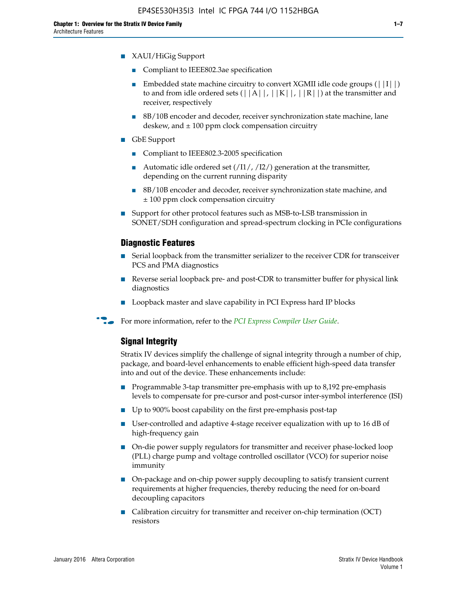- XAUI/HiGig Support
	- Compliant to IEEE802.3ae specification
	- **■** Embedded state machine circuitry to convert XGMII idle code groups  $(|11|)$ to and from idle ordered sets  $(|A|, |K|, |R|)$  at the transmitter and receiver, respectively
	- 8B/10B encoder and decoder, receiver synchronization state machine, lane deskew, and  $\pm 100$  ppm clock compensation circuitry
- GbE Support
	- Compliant to IEEE802.3-2005 specification
	- Automatic idle ordered set  $(111/112/1)$  generation at the transmitter, depending on the current running disparity
	- 8B/10B encoder and decoder, receiver synchronization state machine, and ± 100 ppm clock compensation circuitry
- Support for other protocol features such as MSB-to-LSB transmission in SONET/SDH configuration and spread-spectrum clocking in PCIe configurations

#### **Diagnostic Features**

- Serial loopback from the transmitter serializer to the receiver CDR for transceiver PCS and PMA diagnostics
- Reverse serial loopback pre- and post-CDR to transmitter buffer for physical link diagnostics
- Loopback master and slave capability in PCI Express hard IP blocks
- **For more information, refer to the** *[PCI Express Compiler User Guide](http://www.altera.com/literature/ug/ug_pci_express.pdf)***.**

#### **Signal Integrity**

Stratix IV devices simplify the challenge of signal integrity through a number of chip, package, and board-level enhancements to enable efficient high-speed data transfer into and out of the device. These enhancements include:

- Programmable 3-tap transmitter pre-emphasis with up to 8,192 pre-emphasis levels to compensate for pre-cursor and post-cursor inter-symbol interference (ISI)
- Up to 900% boost capability on the first pre-emphasis post-tap
- User-controlled and adaptive 4-stage receiver equalization with up to 16 dB of high-frequency gain
- On-die power supply regulators for transmitter and receiver phase-locked loop (PLL) charge pump and voltage controlled oscillator (VCO) for superior noise immunity
- On-package and on-chip power supply decoupling to satisfy transient current requirements at higher frequencies, thereby reducing the need for on-board decoupling capacitors
- Calibration circuitry for transmitter and receiver on-chip termination (OCT) resistors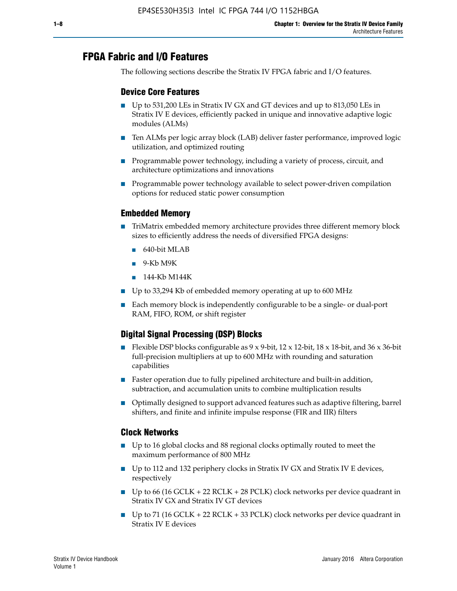# **FPGA Fabric and I/O Features**

The following sections describe the Stratix IV FPGA fabric and I/O features.

## **Device Core Features**

- Up to 531,200 LEs in Stratix IV GX and GT devices and up to 813,050 LEs in Stratix IV E devices, efficiently packed in unique and innovative adaptive logic modules (ALMs)
- Ten ALMs per logic array block (LAB) deliver faster performance, improved logic utilization, and optimized routing
- Programmable power technology, including a variety of process, circuit, and architecture optimizations and innovations
- Programmable power technology available to select power-driven compilation options for reduced static power consumption

## **Embedded Memory**

- TriMatrix embedded memory architecture provides three different memory block sizes to efficiently address the needs of diversified FPGA designs:
	- 640-bit MLAB
	- 9-Kb M9K
	- 144-Kb M144K
- Up to 33,294 Kb of embedded memory operating at up to 600 MHz
- Each memory block is independently configurable to be a single- or dual-port RAM, FIFO, ROM, or shift register

## **Digital Signal Processing (DSP) Blocks**

- Flexible DSP blocks configurable as  $9 \times 9$ -bit,  $12 \times 12$ -bit,  $18 \times 18$ -bit, and  $36 \times 36$ -bit full-precision multipliers at up to 600 MHz with rounding and saturation capabilities
- Faster operation due to fully pipelined architecture and built-in addition, subtraction, and accumulation units to combine multiplication results
- Optimally designed to support advanced features such as adaptive filtering, barrel shifters, and finite and infinite impulse response (FIR and IIR) filters

## **Clock Networks**

- Up to 16 global clocks and 88 regional clocks optimally routed to meet the maximum performance of 800 MHz
- Up to 112 and 132 periphery clocks in Stratix IV GX and Stratix IV E devices, respectively
- Up to 66 (16 GCLK + 22 RCLK + 28 PCLK) clock networks per device quadrant in Stratix IV GX and Stratix IV GT devices
- Up to 71 (16 GCLK + 22 RCLK + 33 PCLK) clock networks per device quadrant in Stratix IV E devices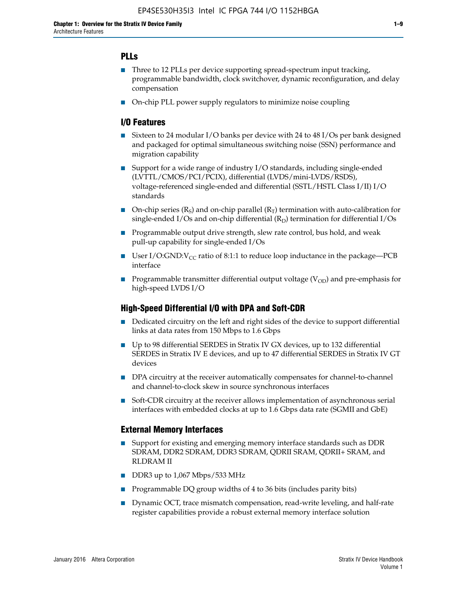## **PLLs**

- Three to 12 PLLs per device supporting spread-spectrum input tracking, programmable bandwidth, clock switchover, dynamic reconfiguration, and delay compensation
- On-chip PLL power supply regulators to minimize noise coupling

### **I/O Features**

- Sixteen to 24 modular I/O banks per device with 24 to 48 I/Os per bank designed and packaged for optimal simultaneous switching noise (SSN) performance and migration capability
- Support for a wide range of industry I/O standards, including single-ended (LVTTL/CMOS/PCI/PCIX), differential (LVDS/mini-LVDS/RSDS), voltage-referenced single-ended and differential (SSTL/HSTL Class I/II) I/O standards
- **O**n-chip series  $(R_S)$  and on-chip parallel  $(R_T)$  termination with auto-calibration for single-ended I/Os and on-chip differential  $(R_D)$  termination for differential I/Os
- Programmable output drive strength, slew rate control, bus hold, and weak pull-up capability for single-ended I/Os
- User I/O:GND: $V_{CC}$  ratio of 8:1:1 to reduce loop inductance in the package—PCB interface
- **■** Programmable transmitter differential output voltage ( $V_{OD}$ ) and pre-emphasis for high-speed LVDS I/O

#### **High-Speed Differential I/O with DPA and Soft-CDR**

- Dedicated circuitry on the left and right sides of the device to support differential links at data rates from 150 Mbps to 1.6 Gbps
- Up to 98 differential SERDES in Stratix IV GX devices, up to 132 differential SERDES in Stratix IV E devices, and up to 47 differential SERDES in Stratix IV GT devices
- DPA circuitry at the receiver automatically compensates for channel-to-channel and channel-to-clock skew in source synchronous interfaces
- Soft-CDR circuitry at the receiver allows implementation of asynchronous serial interfaces with embedded clocks at up to 1.6 Gbps data rate (SGMII and GbE)

#### **External Memory Interfaces**

- Support for existing and emerging memory interface standards such as DDR SDRAM, DDR2 SDRAM, DDR3 SDRAM, QDRII SRAM, QDRII+ SRAM, and RLDRAM II
- DDR3 up to 1,067 Mbps/533 MHz
- Programmable DQ group widths of 4 to 36 bits (includes parity bits)
- Dynamic OCT, trace mismatch compensation, read-write leveling, and half-rate register capabilities provide a robust external memory interface solution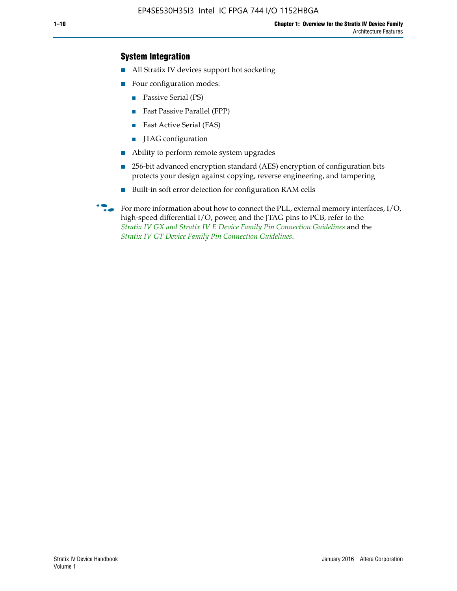## **System Integration**

- All Stratix IV devices support hot socketing
- Four configuration modes:
	- Passive Serial (PS)
	- Fast Passive Parallel (FPP)
	- Fast Active Serial (FAS)
	- JTAG configuration
- Ability to perform remote system upgrades
- 256-bit advanced encryption standard (AES) encryption of configuration bits protects your design against copying, reverse engineering, and tampering
- Built-in soft error detection for configuration RAM cells
- For more information about how to connect the PLL, external memory interfaces,  $I/O$ , high-speed differential I/O, power, and the JTAG pins to PCB, refer to the *[Stratix IV GX and Stratix IV E Device Family Pin Connection Guidelines](http://www.altera.com/literature/dp/stratix4/PCG-01005.pdf)* and the *[Stratix IV GT Device Family Pin Connection Guidelines](http://www.altera.com/literature/dp/stratix4/PCG-01006.pdf)*.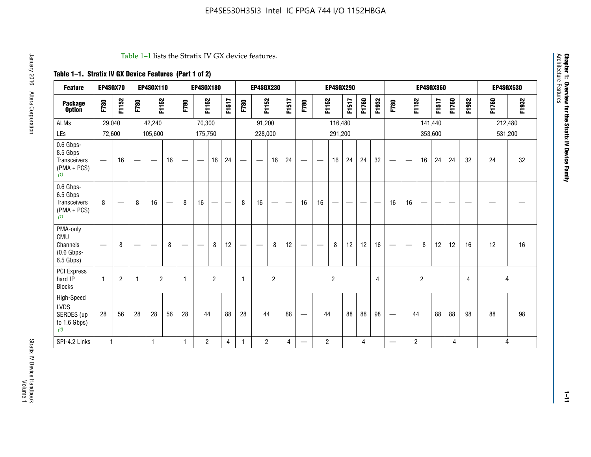#### Table 1–1 lists the Stratix IV GX device features.

## **Table 1–1. Stratix IV GX Device Features (Part 1 of 2)**

| <b>Feature</b>                                                 | EP4SGX70                |                |              | <b>EP4SGX110</b> |    |                 | <b>EP4SGX180</b>               |                |       |              | <b>EP4SGX230</b>              |                |                   |                                |                | <b>EP4SGX290</b> |       |                |       |                                  |                   |                | <b>EP4SGX360</b> |                |       |       | <b>EP4SGX530</b> |
|----------------------------------------------------------------|-------------------------|----------------|--------------|------------------|----|-----------------|--------------------------------|----------------|-------|--------------|-------------------------------|----------------|-------------------|--------------------------------|----------------|------------------|-------|----------------|-------|----------------------------------|-------------------|----------------|------------------|----------------|-------|-------|------------------|
| <b>Package</b><br><b>Option</b>                                | F780                    | F1152          | F780         | F1152            |    | F780            | F1152                          |                | F1517 | F780         | F1152                         |                | F1517             | F780                           | F1152          |                  | F1517 | F1760          | F1932 | F780                             | F1152             |                | <b>F1517</b>     | F1760          | F1932 | F1760 | F1932            |
| ALMs                                                           | 29,040                  |                |              | 42,240           |    |                 | 70,300                         |                |       |              | 91,200                        |                |                   |                                |                | 116,480          |       |                |       |                                  |                   |                | 141,440          |                |       |       | 212,480          |
| LEs                                                            | 72,600                  |                |              | 105,600          |    |                 | 175,750                        |                |       |              | 228,000                       |                |                   |                                |                | 291,200          |       |                |       |                                  |                   |                | 353,600          |                |       |       | 531,200          |
| 0.6 Gbps-<br>8.5 Gbps<br>Transceivers<br>$(PMA + PCs)$<br>(1)  |                         | 16             |              |                  | 16 | $\qquad \qquad$ |                                | 16             | 24    |              |                               | 16             | 24                | $\qquad \qquad \longleftarrow$ |                | 16               | 24    | 24             | 32    |                                  |                   | 16             | 24               | 24             | 32    | 24    | 32               |
| 0.6 Gbps-<br>6.5 Gbps<br>Transceivers<br>$(PMA + PCs)$<br>(1)  | 8                       |                | 8            | 16               |    | 8               | 16                             | -              |       | 8            | 16                            | —              | $\hspace{0.05cm}$ | 16                             | 16             |                  |       |                |       | 16                               | 16                |                |                  |                |       |       |                  |
| PMA-only<br>CMU<br>Channels<br>$(0.6$ Gbps-<br>6.5 Gbps)       | —                       | 8              |              |                  | 8  | $\qquad \qquad$ | $\qquad \qquad \longleftarrow$ | 8              | 12    | —            | $\overbrace{\phantom{aaaaa}}$ | 8              | 12                | $\qquad \qquad \longleftarrow$ |                | 8                | 12    | 12             | 16    | $\hspace{0.1mm}-\hspace{0.1mm}$  | $\hspace{0.05cm}$ | 8              | 12               | 12             | 16    | 12    | 16               |
| PCI Express<br>hard IP<br><b>Blocks</b>                        | $\overline{\mathbf{1}}$ | $\overline{2}$ | $\mathbf{1}$ | $\overline{2}$   |    | $\mathbf{1}$    |                                | $\overline{2}$ |       | $\mathbf{1}$ |                               | $\overline{c}$ |                   |                                |                | $\overline{2}$   |       |                | 4     |                                  |                   | $\overline{2}$ |                  |                | 4     |       | 4                |
| High-Speed<br><b>LVDS</b><br>SERDES (up<br>to 1.6 Gbps)<br>(4) | 28                      | 56             | 28           | 28               | 56 | 28              | 44                             |                | 88    | 28           | 44                            |                | 88                | $\qquad \qquad \longleftarrow$ | 44             |                  | 88    | 88             | 98    |                                  | 44                |                | 88               | 88             | 98    | 88    | 98               |
| SPI-4.2 Links                                                  | $\mathbf{1}$            |                |              | $\mathbf{1}$     |    | 1               | $\overline{2}$                 |                | 4     | $\mathbf{1}$ | $\overline{2}$                |                | $\overline{4}$    |                                | $\overline{c}$ |                  |       | $\overline{4}$ |       | $\overbrace{\phantom{12322111}}$ | $\overline{2}$    |                |                  | $\overline{4}$ |       |       | 4                |

**Chapter 1: Overview for the Stratix IV Device Family**

**Chapter 1: Overview for the Stratix IV Device Family**<br>Architecture Features

Architecture Features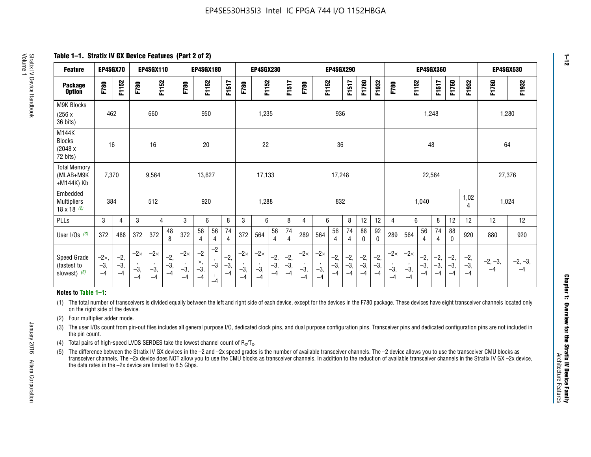**Table 1–1. Stratix IV GX Device Features (Part 2 of 2)**

| <b>Feature</b>                                       | EP4SGX70                |                        |                             | <b>EP4SGX110</b>            |                      |                             | <b>EP4SGX180</b>          |                                              |                        |                             | <b>EP4SGX230</b>            |                        |                      |                             |                             | EP4SGX290              |                      |                        |                        |                             |                             |                        | <b>EP4SGX360</b>     |                        |                        | <b>EP4SGX530</b>  |                   |
|------------------------------------------------------|-------------------------|------------------------|-----------------------------|-----------------------------|----------------------|-----------------------------|---------------------------|----------------------------------------------|------------------------|-----------------------------|-----------------------------|------------------------|----------------------|-----------------------------|-----------------------------|------------------------|----------------------|------------------------|------------------------|-----------------------------|-----------------------------|------------------------|----------------------|------------------------|------------------------|-------------------|-------------------|
| <b>Package</b><br><b>Option</b>                      | F780                    | F1152                  | F780                        | F1152                       |                      | F780                        | F1152                     |                                              | F1517                  | F780                        | F1152                       |                        | F1517                | F780                        | F1152                       |                        | F1517                | F1760                  | F1932                  | F780                        | F1152                       |                        | F1517                | F1760                  | F1932                  | F1760             | F1932             |
| M9K Blocks<br>(256x)<br>36 bits)                     | 462                     |                        |                             | 660                         |                      |                             | 950                       |                                              |                        |                             | 1,235                       |                        |                      |                             |                             | 936                    |                      |                        |                        |                             |                             | 1,248                  |                      |                        |                        | 1,280             |                   |
| M144K<br>Blocks<br>(2048 x<br>72 bits)               | 16                      |                        |                             | 16                          |                      |                             | 20                        |                                              |                        |                             | 22                          |                        |                      |                             |                             | 36                     |                      |                        |                        |                             |                             | 48                     |                      |                        |                        | 64                |                   |
| <b>Total Memory</b><br>(MLAB+M9K<br>+M144K) Kb       | 7,370                   |                        |                             | 9,564                       |                      |                             | 13,627                    |                                              |                        |                             | 17,133                      |                        |                      |                             |                             | 17,248                 |                      |                        |                        |                             |                             | 22,564                 |                      |                        |                        | 27,376            |                   |
| Embedded<br><b>Multipliers</b><br>$18 \times 18$ (2) | 384                     |                        |                             | 512                         |                      |                             | 920                       |                                              |                        |                             | 1,288                       |                        |                      |                             |                             | 832                    |                      |                        |                        |                             |                             | 1,040                  |                      |                        | 1,02<br>4              | 1,024             |                   |
| PLLs                                                 | 3                       | 4                      | 3                           | 4                           |                      | 3                           | 6                         |                                              | 8                      | 3                           | 6                           |                        | 8                    | 4                           | 6                           |                        | 8                    | 12                     | 12                     | 4                           | 6                           |                        | 8                    | 12                     | 12                     | 12                | 12                |
| User I/Os $(3)$                                      | 372                     | 488                    | 372                         | 372                         | 48<br>8              | 372                         | 56<br>4                   | 56<br>4                                      | 74<br>$\overline{4}$   | 372                         | 564                         | 56<br>4                | 74<br>$\overline{4}$ | 289                         | 564                         | 56<br>4                | 74<br>4              | 88<br>0                | 92<br>$\mathbf 0$      | 289                         | 564                         | 56<br>4                | 74<br>4              | 88<br>0                | 920                    | 880               | 920               |
| Speed Grade<br>(fastest to<br>slowest) (5)           | $-2x,$<br>$-3,$<br>$-4$ | $-2,$<br>$-3,$<br>$-4$ | $-2\times$<br>$-3,$<br>$-4$ | $-2\times$<br>$-3,$<br>$-4$ | $-2,$<br>-3,<br>$-4$ | $-2\times$<br>$-3,$<br>$-4$ | $-2$<br>×,<br>$-3,$<br>-4 | $-2$<br>$\,$<br>$-3$<br>$\mathbf{r}$<br>$-4$ | $-2,$<br>$-3,$<br>$-4$ | $-2\times$<br>$-3,$<br>$-4$ | $-2\times$<br>$-3,$<br>$-4$ | $-2,$<br>$-3,$<br>$-4$ | $-2,$<br>-3,<br>$-4$ | $-2\times$<br>$-3,$<br>$-4$ | $-2\times$<br>$-3,$<br>$-4$ | $-2,$<br>$-3,$<br>$-4$ | $-2,$<br>-3,<br>$-4$ | $-2,$<br>$-3,$<br>$-4$ | $-2,$<br>$-3,$<br>$-4$ | $-2\times$<br>$-3,$<br>$-4$ | $-2\times$<br>$-3,$<br>$-4$ | $-2,$<br>$-3,$<br>$-4$ | $-2,$<br>-3,<br>$-4$ | $-2,$<br>$-3,$<br>$-4$ | $-2,$<br>$-3,$<br>$-4$ | $-2, -3,$<br>$-4$ | $-2, -3,$<br>$-4$ |

#### **Notes to Table 1–1:**

(1) The total number of transceivers is divided equally between the left and right side of each device, except for the devices in the F780 package. These devices have eight transceiver channels located only on the right side of the device.

- (2) Four multiplier adder mode.
- (3) The user I/Os count from pin-out files includes all general purpose I/O, dedicated clock pins, and dual purpose configuration pins. Transceiver pins and dedicated configuration pins are not included in the pin count.
- (4) Total pairs of high-speed LVDS SERDES take the lowest channel count of  $R_X/T_X$ .
- (5) The difference between the Stratix IV GX devices in the –2 and –2x speed grades is the number of available transceiver channels. The –2 device allows you to use the transceiver CMU blocks as transceiver channels. The –2x device does NOT allow you to use the CMU blocks as transceiver channels. In addition to the reduction of available transceiver channels in the Stratix IV GX –2x device, the data rates in the –2x device are limited to 6.5 Gbps.

January 2016 Altera Corporation

Altera Corporation

January 2016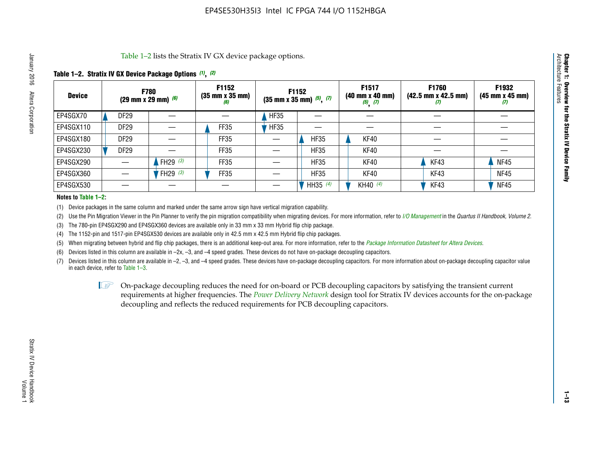Table 1–2 lists the Stratix IV GX device package options.

#### **Table 1–2. Stratix IV GX Device Package Options** *(1)***,** *(2)*

| <b>Device</b> |                  | <b>F780</b><br>(29 mm x 29 mm) $(6)$ | F1152<br>$(35 \, \text{mm} \times 35 \, \text{mm})$<br>(6) |             | <b>F1152</b><br>$(35$ mm x 35 mm) $(5)$ , $(7)$ | F1517<br>(40 mm x 40 mm)<br>$(5)$ $(7)$ | F1760<br>$(42.5 \text{ mm} \times 42.5 \text{ mm})$<br>Ш | F1932<br>$(45 \, \text{mm} \times 45 \, \text{mm})$<br>(7) |
|---------------|------------------|--------------------------------------|------------------------------------------------------------|-------------|-------------------------------------------------|-----------------------------------------|----------------------------------------------------------|------------------------------------------------------------|
| EP4SGX70      | <b>DF29</b>      |                                      |                                                            | <b>HF35</b> |                                                 |                                         |                                                          |                                                            |
| EP4SGX110     | <b>DF29</b>      |                                      | FF35                                                       | <b>HF35</b> |                                                 |                                         |                                                          |                                                            |
| EP4SGX180     | DF <sub>29</sub> |                                      | FF35                                                       |             | <b>HF35</b>                                     | KF40                                    |                                                          |                                                            |
| EP4SGX230     | <b>DF29</b>      |                                      | FF35                                                       |             | <b>HF35</b>                                     | KF40                                    |                                                          |                                                            |
| EP4SGX290     |                  | FH29 $(3)$                           | <b>FF35</b>                                                |             | <b>HF35</b>                                     | KF40                                    | KF43                                                     | <b>NF45</b>                                                |
| EP4SGX360     |                  | FH29 $(3)$                           | FF35                                                       |             | <b>HF35</b>                                     | KF40                                    | KF43                                                     | <b>NF45</b>                                                |
| EP4SGX530     |                  |                                      |                                                            |             | HH35 $(4)$                                      | KH40 (4)                                | KF43                                                     | <b>NF45</b>                                                |

#### **Notes to Table 1–2:**

(1) Device packages in the same column and marked under the same arrow sign have vertical migration capability.

(2) Use the Pin Migration Viewer in the Pin Planner to verify the pin migration compatibility when migrating devices. For more information, refer to *[I/O Management](http://www.altera.com/literature/hb/qts/qts_qii52013.pdf)* in the *Quartus II Handbook, Volume 2*.

(3) The 780-pin EP4SGX290 and EP4SGX360 devices are available only in 33 mm x 33 mm Hybrid flip chip package.

(4) The 1152-pin and 1517-pin EP4SGX530 devices are available only in 42.5 mm x 42.5 mm Hybrid flip chip packages.

(5) When migrating between hybrid and flip chip packages, there is an additional keep-out area. For more information, refer to the *[Package Information Datasheet for Altera Devices](http://www.altera.com/literature/ds/dspkg.pdf)*.

(6) Devices listed in this column are available in –2x, –3, and –4 speed grades. These devices do not have on-package decoupling capacitors.

(7) Devices listed in this column are available in –2, –3, and –4 speed grades. These devices have on-package decoupling capacitors. For more information about on-package decoupling capacitor value in each device, refer to Table 1–3.

 $\mathbb{L}$ s On-package decoupling reduces the need for on-board or PCB decoupling capacitors by satisfying the transient current requirements at higher frequencies. The *[Power Delivery Network](http://www.altera.com/literature/ug/pdn_tool_stxiv.zip)* design tool for Stratix IV devices accounts for the on-package decoupling and reflects the reduced requirements for PCB decoupling capacitors.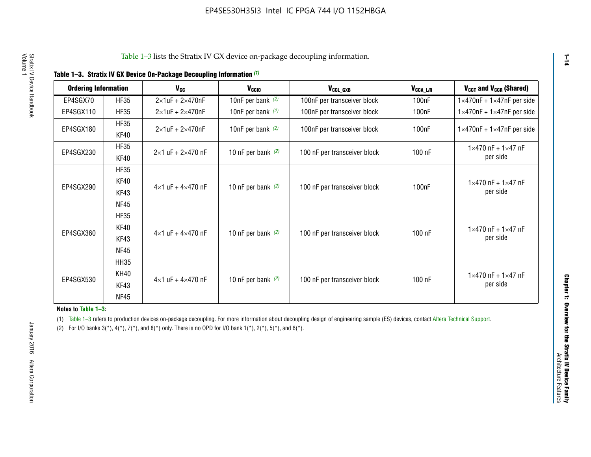| <b>Ordering Information</b> |             | <b>V<sub>cc</sub></b>               | V <sub>ccio</sub>    | V <sub>CCL_GXB</sub>         | $V_{\texttt{CCA}\_\textsf{L/R}}$ | $V_{CCT}$ and $V_{CCR}$ (Shared)              |
|-----------------------------|-------------|-------------------------------------|----------------------|------------------------------|----------------------------------|-----------------------------------------------|
|                             |             |                                     |                      |                              |                                  |                                               |
| EP4SGX70                    | <b>HF35</b> | $2\times1$ uF + $2\times470$ nF     | 10nF per bank $(2)$  | 100nF per transceiver block  | 100nF                            | $1 \times 470$ nF + $1 \times 47$ nF per side |
| EP4SGX110                   | <b>HF35</b> | $2\times1$ uF + 2 $\times$ 470nF    | 10nF per bank $(2)$  | 100nF per transceiver block  | 100 <sub>nF</sub>                | $1\times470$ nF + $1\times47$ nF per side     |
| EP4SGX180                   | <b>HF35</b> | $2\times1$ uF + $2\times470$ nF     | 10nF per bank $(2)$  | 100nF per transceiver block  | 100 <sub>n</sub> F               | $1 \times 470$ nF + $1 \times 47$ nF per side |
|                             | KF40        |                                     |                      |                              |                                  |                                               |
|                             | <b>HF35</b> |                                     |                      |                              |                                  | $1 \times 470$ nF + $1 \times 47$ nF          |
| EP4SGX230                   | KF40        | $2\times1$ uF + $2\times470$ nF     | 10 nF per bank $(2)$ | 100 nF per transceiver block | 100 nF                           | per side                                      |
|                             | <b>HF35</b> |                                     |                      |                              |                                  |                                               |
|                             | KF40        |                                     |                      |                              |                                  | $1 \times 470$ nF + $1 \times 47$ nF          |
| EP4SGX290                   | KF43        | $4 \times 1$ uF + $4 \times 470$ nF | 10 nF per bank $(2)$ | 100 nF per transceiver block | 100nF                            | per side                                      |
|                             | <b>NF45</b> |                                     |                      |                              |                                  |                                               |
|                             | <b>HF35</b> |                                     |                      |                              |                                  |                                               |
|                             | KF40        |                                     |                      |                              |                                  | $1 \times 470$ nF + $1 \times 47$ nF          |
| EP4SGX360                   | KF43        | $4 \times 1$ uF + $4 \times 470$ nF | 10 nF per bank $(2)$ | 100 nF per transceiver block | 100 nF                           | per side                                      |
|                             | <b>NF45</b> |                                     |                      |                              |                                  |                                               |
|                             | <b>HH35</b> |                                     |                      |                              |                                  |                                               |
|                             | <b>KH40</b> |                                     |                      |                              |                                  | $1 \times 470$ nF + $1 \times 47$ nF          |
| EP4SGX530                   | KF43        | $4 \times 1$ uF + $4 \times 470$ nF | 10 nF per bank $(2)$ | 100 nF per transceiver block | 100 nF                           | per side                                      |
|                             | <b>NF45</b> |                                     |                      |                              |                                  |                                               |

**Notes to Table 1–3:**

(1) Table 1-3 refers to production devices on-package decoupling. For more information about decoupling design of engineering sample (ES) devices, contact [Altera Technical Support](http://mysupport.altera.com/eservice/login.asp).

(2) For I/O banks  $3(*)$ ,  $4(*)$ ,  $7(*)$ , and  $8(*)$  only. There is no OPD for I/O bank  $1(*)$ ,  $2(*)$ ,  $5(*)$ , and  $6(*)$ .

**1–14**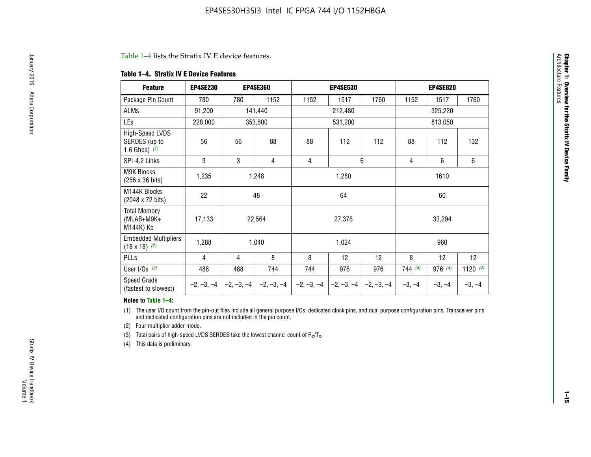#### Table 1–4 lists the Stratix IV E device features.

#### **Table 1–4. Stratix IV E Device Features**

| <b>Feature</b>                                      | <b>EP4SE230</b> |     | <b>EP4SE360</b>                          |              | <b>EP4SE530</b> |              |                | <b>EP4SE820</b> |                 |  |
|-----------------------------------------------------|-----------------|-----|------------------------------------------|--------------|-----------------|--------------|----------------|-----------------|-----------------|--|
| Package Pin Count                                   | 780             | 780 | 1152                                     | 1152         | 1517            | 1760         | 1152           | 1517            | 1760            |  |
| ALMs                                                | 91,200          |     | 141,440                                  |              | 212,480         |              |                | 325,220         |                 |  |
| LEs                                                 | 228,000         |     | 353,600                                  |              | 531,200         |              |                | 813,050         |                 |  |
| High-Speed LVDS<br>SERDES (up to<br>1.6 Gbps) $(1)$ | 56              | 56  | 88                                       | 88           | 112             | 112          | 88             | 112             | 132             |  |
| SPI-4.2 Links                                       | 3               | 3   | 4                                        | 4            |                 | 6            | $\overline{4}$ | 6               | 6               |  |
| <b>M9K Blocks</b><br>(256 x 36 bits)                | 1,235           |     | 1,248                                    |              | 1,280           |              |                | 1610            |                 |  |
| M144K Blocks<br>(2048 x 72 bits)                    | 22              |     | 48                                       |              | 64              |              | 60             |                 |                 |  |
| <b>Total Memory</b><br>$(MLAB+M9K+$<br>M144K) Kb    | 17,133          |     | 22,564                                   |              | 27,376          |              |                | 33,294          |                 |  |
| <b>Embedded Multipliers</b><br>$(18 \times 18)$ (2) | 1,288           |     | 1,040                                    |              | 1,024           |              |                | 960             |                 |  |
| PLLs                                                | 4               | 4   | 8                                        | 8            | 12              | 12           | 8              | 12              | 12 <sup>2</sup> |  |
| User I/Os $(3)$                                     | 488             | 488 | 744                                      | 744          | 976             | 976          | 744(4)         | 976(4)          | 1120 $(4)$      |  |
| Speed Grade<br>(fastest to slowest)                 |                 |     | $-2, -3, -4$ $ -2, -3, -4$ $ -2, -3, -4$ | $-2, -3, -4$ | $-2, -3, -4$    | $-2, -3, -4$ | $-3, -4$       | $-3, -4$        | $-3, -4$        |  |

#### **Notes to Table 1–4:**

(1) The user I/O count from the pin-out files include all general purpose I/Os, dedicated clock pins, and dual purpose configuration pins. Transceiver pins and dedicated configuration pins are not included in the pin count.

(2) Four multiplier adder mode.

(3) Total pairs of high-speed LVDS SERDES take the lowest channel count of  $R_X/T_X$ .

(4) This data is preliminary.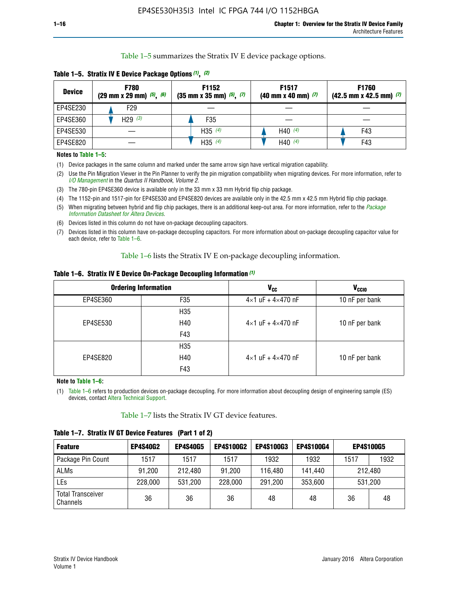Table 1–5 summarizes the Stratix IV E device package options.

| <b>Device</b> | <b>F780</b><br>$(29 \text{ mm} \times 29 \text{ mm})$ $(5)$ , $(6)$ | F1152<br>$(35 \text{ mm} \times 35 \text{ mm})$ $(5)$ , $(7)$ | F <sub>1517</sub><br>$(40 \text{ mm} \times 40 \text{ mm})$ (7) | <b>F1760</b><br>$(42.5$ mm x 42.5 mm) $(7)$ |  |  |
|---------------|---------------------------------------------------------------------|---------------------------------------------------------------|-----------------------------------------------------------------|---------------------------------------------|--|--|
| EP4SE230      | F29                                                                 |                                                               |                                                                 |                                             |  |  |
| EP4SE360      | H <sub>29</sub> $(3)$                                               | F35                                                           |                                                                 |                                             |  |  |
| EP4SE530      |                                                                     | H35 $(4)$                                                     | H40 $(4)$                                                       | F43                                         |  |  |
| EP4SE820      |                                                                     | H35 $(4)$                                                     | H40 $(4)$                                                       | F43                                         |  |  |

**Table 1–5. Stratix IV E Device Package Options** *(1)***,** *(2)*

#### **Notes to Table 1–5:**

(1) Device packages in the same column and marked under the same arrow sign have vertical migration capability.

(2) Use the Pin Migration Viewer in the Pin Planner to verify the pin migration compatibility when migrating devices. For more information, refer to *[I/O Management](http://www.altera.com/literature/hb/qts/qts_qii52013.pdf)* in the *Quartus II Handbook, Volume 2*.

(3) The 780-pin EP4SE360 device is available only in the 33 mm x 33 mm Hybrid flip chip package.

(4) The 1152-pin and 1517-pin for EP4SE530 and EP4SE820 devices are available only in the 42.5 mm x 42.5 mm Hybrid flip chip package.

(5) When migrating between hybrid and flip chip packages, there is an additional keep-out area. For more information, refer to the *[Package](http://www.altera.com/literature/ds/dspkg.pdf)  [Information Datasheet for Altera Devices](http://www.altera.com/literature/ds/dspkg.pdf)*.

(6) Devices listed in this column do not have on-package decoupling capacitors.

(7) Devices listed in this column have on-package decoupling capacitors. For more information about on-package decoupling capacitor value for each device, refer to Table 1–6.

Table 1–6 lists the Stratix IV E on-package decoupling information.

| Table 1–6. Stratix IV E Device On-Package Decoupling Information (1) |  |  |  |  |  |
|----------------------------------------------------------------------|--|--|--|--|--|
|----------------------------------------------------------------------|--|--|--|--|--|

|          | <b>Ordering Information</b> | <b>V<sub>cc</sub></b>               | <b>V<sub>CCIO</sub></b> |
|----------|-----------------------------|-------------------------------------|-------------------------|
| EP4SE360 | F35                         | $4 \times 1$ uF + $4 \times 470$ nF | 10 nF per bank          |
|          | H <sub>35</sub>             |                                     |                         |
| EP4SE530 | H40                         | $4 \times 1$ uF + $4 \times 470$ nF | 10 nF per bank          |
|          | F43                         |                                     |                         |
|          | H <sub>35</sub>             |                                     |                         |
| EP4SE820 | H40                         | $4 \times 1$ uF + $4 \times 470$ nF | 10 nF per bank          |
|          | F43                         |                                     |                         |

**Note to Table 1–6:**

(1) Table 1–6 refers to production devices on-package decoupling. For more information about decoupling design of engineering sample (ES) devices, contact [Altera Technical Support](http://mysupport.altera.com/eservice/login.asp).

Table 1–7 lists the Stratix IV GT device features.

| <b>Feature</b>                       | <b>EP4S40G2</b> | <b>EP4S40G5</b> | <b>EP4S100G2</b> | <b>EP4S100G3</b> | <b>EP4S100G4</b> | <b>EP4S100G5</b> |         |
|--------------------------------------|-----------------|-----------------|------------------|------------------|------------------|------------------|---------|
| Package Pin Count                    | 1517            | 1517            | 1517             | 1932             | 1932             | 1517             | 1932    |
| <b>ALMs</b>                          | 91,200          | 212,480         | 91,200           | 116,480          | 141,440          | 212.480          |         |
| LEs                                  | 228,000         | 531,200         | 228,000          | 291,200          | 353,600          |                  | 531,200 |
| <b>Total Transceiver</b><br>Channels | 36              | 36              | 36               | 48               | 48               | 36               | 48      |

**Table 1–7. Stratix IV GT Device Features (Part 1 of 2)**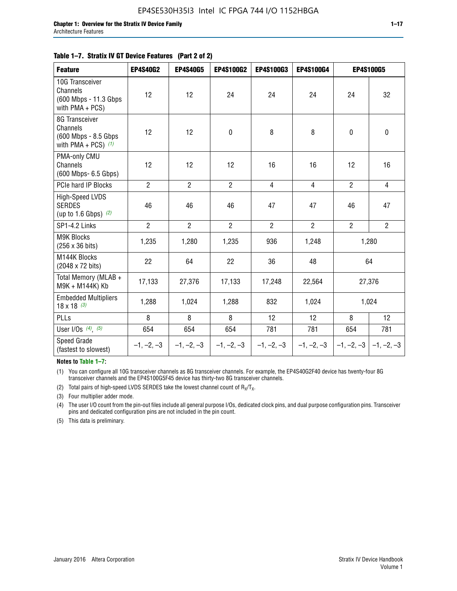#### **Table 1–7. Stratix IV GT Device Features (Part 2 of 2)**

| <b>Feature</b>                                                               | <b>EP4S40G2</b> | <b>EP4S40G5</b> | <b>EP4S100G2</b> | <b>EP4S100G3</b> | <b>EP4S100G4</b> | <b>EP4S100G5</b>          |                |
|------------------------------------------------------------------------------|-----------------|-----------------|------------------|------------------|------------------|---------------------------|----------------|
| 10G Transceiver<br>Channels<br>(600 Mbps - 11.3 Gbps<br>with PMA + PCS)      | 12              | 12              | 24               | 24               | 24               | 24                        | 32             |
| 8G Transceiver<br>Channels<br>(600 Mbps - 8.5 Gbps)<br>with PMA + PCS) $(1)$ | 12              | 12              | $\pmb{0}$        | 8                | 8                | $\mathbf 0$               | $\mathbf 0$    |
| PMA-only CMU<br>Channels<br>(600 Mbps- 6.5 Gbps)                             | 12              | 12              | 12               | 16               | 16               | 12                        | 16             |
| PCIe hard IP Blocks                                                          | $\overline{2}$  | $\overline{2}$  | $\overline{2}$   | 4                | $\overline{4}$   | $\overline{2}$            | $\overline{4}$ |
| High-Speed LVDS<br><b>SERDES</b><br>(up to 1.6 Gbps) $(2)$                   | 46              | 46              | 46               | 47               | 47               | 46                        | 47             |
| SP1-4.2 Links                                                                | $\overline{2}$  | $\overline{2}$  | $\overline{2}$   | $\overline{2}$   | $\overline{2}$   | $\overline{2}$            | $\overline{2}$ |
| <b>M9K Blocks</b><br>(256 x 36 bits)                                         | 1,235           | 1,280           | 1,235            | 936              | 1,248            |                           | 1,280          |
| M144K Blocks<br>(2048 x 72 bits)                                             | 22              | 64              | 22               | 36               | 48               |                           | 64             |
| Total Memory (MLAB +<br>M9K + M144K) Kb                                      | 17,133          | 27,376          | 17,133           | 17,248           | 22,564           |                           | 27,376         |
| <b>Embedded Multipliers</b><br>$18 \times 18^{(3)}$                          | 1,288           | 1,024           | 1,288            | 832              | 1,024            |                           | 1,024          |
| PLLs                                                                         | 8               | 8               | 8                | 12               | 12               | 8                         | 12             |
| User I/Os $(4)$ , $(5)$                                                      | 654             | 654             | 654              | 781              | 781              | 654                       | 781            |
| Speed Grade<br>(fastest to slowest)                                          | $-1, -2, -3$    | $-1, -2, -3$    | $-1, -2, -3$     | $-1, -2, -3$     | $-1, -2, -3$     | $-1, -2, -3$ $-1, -2, -3$ |                |

**Notes to Table 1–7:**

(1) You can configure all 10G transceiver channels as 8G transceiver channels. For example, the EP4S40G2F40 device has twenty-four 8G transceiver channels and the EP4S100G5F45 device has thirty-two 8G transceiver channels.

(2) Total pairs of high-speed LVDS SERDES take the lowest channel count of  $R_X/T_X$ .

(3) Four multiplier adder mode.

(4) The user I/O count from the pin-out files include all general purpose I/Os, dedicated clock pins, and dual purpose configuration pins. Transceiver pins and dedicated configuration pins are not included in the pin count.

(5) This data is preliminary.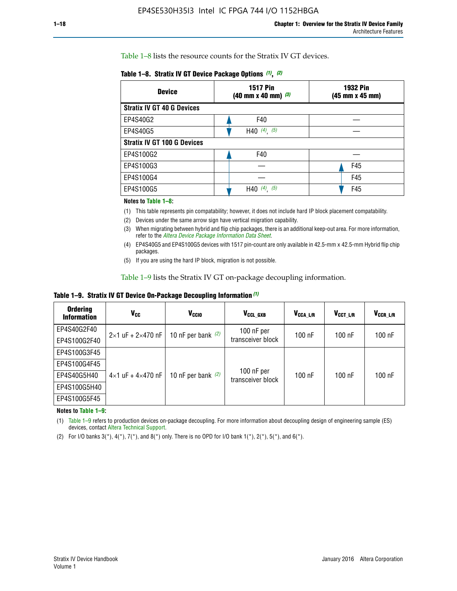Table 1–8 lists the resource counts for the Stratix IV GT devices.

| <b>Device</b>                      | <b>1517 Pin</b><br>$(40 \text{ mm} \times 40 \text{ mm})$ (3) | <b>1932 Pin</b><br>(45 mm x 45 mm) |  |
|------------------------------------|---------------------------------------------------------------|------------------------------------|--|
| <b>Stratix IV GT 40 G Devices</b>  |                                                               |                                    |  |
| EP4S40G2                           | F40                                                           |                                    |  |
| EP4S40G5                           | H40 $(4)$ , $(5)$                                             |                                    |  |
| <b>Stratix IV GT 100 G Devices</b> |                                                               |                                    |  |
| EP4S100G2                          | F40                                                           |                                    |  |
| EP4S100G3                          |                                                               | F45                                |  |
| EP4S100G4                          |                                                               | F45                                |  |
| EP4S100G5                          | H40 $(4)$ , $(5)$                                             | F45                                |  |

#### **Notes to Table 1–8:**

(1) This table represents pin compatability; however, it does not include hard IP block placement compatability.

- (2) Devices under the same arrow sign have vertical migration capability.
- (3) When migrating between hybrid and flip chip packages, there is an additional keep-out area. For more information, refer to the *[Altera Device Package Information Data Sheet](http://www.altera.com/literature/ds/dspkg.pdf)*.
- (4) EP4S40G5 and EP4S100G5 devices with 1517 pin-count are only available in 42.5-mm x 42.5-mm Hybrid flip chip packages.
- (5) If you are using the hard IP block, migration is not possible.

Table 1–9 lists the Stratix IV GT on-package decoupling information.

**Table 1–9. Stratix IV GT Device On-Package Decoupling Information** *(1)*

| <b>Ordering</b><br><b>Information</b> | Vcc                                 | <b>V<sub>CCIO</sub></b> | V <sub>CCL GXB</sub>            | V <sub>CCA L/R</sub> | V <sub>CCT L/R</sub> | V <sub>CCR_L/R</sub> |
|---------------------------------------|-------------------------------------|-------------------------|---------------------------------|----------------------|----------------------|----------------------|
| EP4S40G2F40                           | $2 \times 1$ uF + $2 \times 470$ nF | 10 nF per bank $(2)$    | 100 nF per<br>transceiver block | $100$ nF             | $100$ nF             | $100$ nF             |
| EP4S100G2F40                          |                                     |                         |                                 |                      |                      |                      |
| EP4S100G3F45                          | $4\times1$ uF + $4\times470$ nF     | 10 nF per bank $(2)$    | 100 nF per<br>transceiver block | $100$ nF             | $100$ nF             | $100$ nF             |
| EP4S100G4F45                          |                                     |                         |                                 |                      |                      |                      |
| EP4S40G5H40                           |                                     |                         |                                 |                      |                      |                      |
| EP4S100G5H40                          |                                     |                         |                                 |                      |                      |                      |
| EP4S100G5F45                          |                                     |                         |                                 |                      |                      |                      |

**Notes to Table 1–9:**

(1) Table 1–9 refers to production devices on-package decoupling. For more information about decoupling design of engineering sample (ES) devices, contact [Altera Technical Support](http://mysupport.altera.com/eservice/login.asp).

(2) For I/O banks  $3(*)$ ,  $4(*)$ ,  $7(*)$ , and  $8(*)$  only. There is no OPD for I/O bank  $1(*)$ ,  $2(*)$ ,  $5(*)$ , and  $6(*)$ .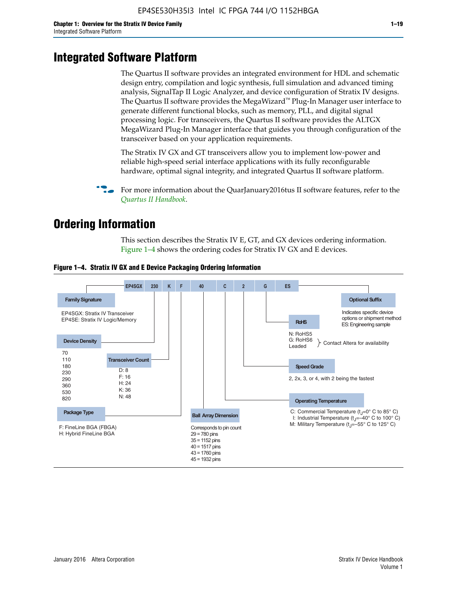# **Integrated Software Platform**

The Quartus II software provides an integrated environment for HDL and schematic design entry, compilation and logic synthesis, full simulation and advanced timing analysis, SignalTap II Logic Analyzer, and device configuration of Stratix IV designs. The Quartus II software provides the MegaWizard<sup> $M$ </sup> Plug-In Manager user interface to generate different functional blocks, such as memory, PLL, and digital signal processing logic. For transceivers, the Quartus II software provides the ALTGX MegaWizard Plug-In Manager interface that guides you through configuration of the transceiver based on your application requirements.

The Stratix IV GX and GT transceivers allow you to implement low-power and reliable high-speed serial interface applications with its fully reconfigurable hardware, optimal signal integrity, and integrated Quartus II software platform.

For more information about the QuarJanuary2016tus II software features, refer to the *[Quartus II Handbook](http://www.altera.com/literature/lit-qts.jsp)*.

# **Ordering Information**

This section describes the Stratix IV E, GT, and GX devices ordering information. Figure 1–4 shows the ordering codes for Stratix IV GX and E devices.



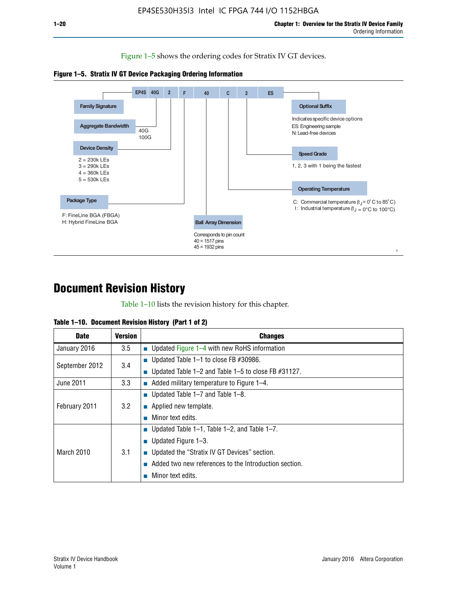Figure 1–5 shows the ordering codes for Stratix IV GT devices.





# **Document Revision History**

Table 1–10 lists the revision history for this chapter.

| <b>Date</b>       | <b>Version</b> | <b>Changes</b>                                              |
|-------------------|----------------|-------------------------------------------------------------|
| January 2016      | 3.5            | ■ Updated Figure $1-4$ with new RoHS information            |
| September 2012    | 3.4            | ■ Updated Table 1–1 to close FB $#30986$ .                  |
|                   |                | Updated Table $1-2$ and Table $1-5$ to close FB $\#31127$ . |
| June 2011         | 3.3            | $\blacksquare$ Added military temperature to Figure 1–4.    |
| February 2011     | 3.2            | ■ Updated Table 1–7 and Table 1–8.                          |
|                   |                | • Applied new template.                                     |
|                   |                | Minor text edits.                                           |
| <b>March 2010</b> | 3.1            | ■ Updated Table 1–1, Table 1–2, and Table 1–7.              |
|                   |                | ■ Updated Figure $1-3$ .                                    |
|                   |                | Updated the "Stratix IV GT Devices" section.                |
|                   |                | Added two new references to the Introduction section.       |
|                   |                | Minor text edits.                                           |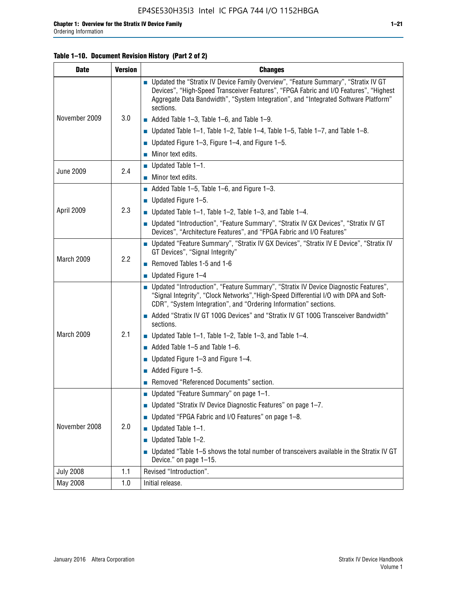#### **Table 1–10. Document Revision History (Part 2 of 2)**

| <b>Date</b>      | <b>Version</b> | <b>Changes</b>                                                                                                                                                                                                                                                                    |  |
|------------------|----------------|-----------------------------------------------------------------------------------------------------------------------------------------------------------------------------------------------------------------------------------------------------------------------------------|--|
| November 2009    | 3.0            | ■ Updated the "Stratix IV Device Family Overview", "Feature Summary", "Stratix IV GT<br>Devices", "High-Speed Transceiver Features", "FPGA Fabric and I/O Features", "Highest<br>Aggregate Data Bandwidth", "System Integration", and "Integrated Software Platform"<br>sections. |  |
|                  |                | $\blacksquare$ Added Table 1-3, Table 1-6, and Table 1-9.                                                                                                                                                                                                                         |  |
|                  |                | $\blacksquare$ Updated Table 1-1, Table 1-2, Table 1-4, Table 1-5, Table 1-7, and Table 1-8.                                                                                                                                                                                      |  |
|                  |                | ■ Updated Figure 1–3, Figure 1–4, and Figure 1–5.                                                                                                                                                                                                                                 |  |
|                  |                | $\blacksquare$ Minor text edits.                                                                                                                                                                                                                                                  |  |
|                  | 2.4            | $\blacksquare$ Updated Table 1-1.                                                                                                                                                                                                                                                 |  |
| <b>June 2009</b> |                | Minor text edits.                                                                                                                                                                                                                                                                 |  |
|                  |                | $\blacksquare$ Added Table 1–5, Table 1–6, and Figure 1–3.                                                                                                                                                                                                                        |  |
|                  |                | $\blacksquare$ Updated Figure 1-5.                                                                                                                                                                                                                                                |  |
| April 2009       | 2.3            | Updated Table $1-1$ , Table $1-2$ , Table $1-3$ , and Table $1-4$ .                                                                                                                                                                                                               |  |
|                  |                | ■ Updated "Introduction", "Feature Summary", "Stratix IV GX Devices", "Stratix IV GT<br>Devices", "Architecture Features", and "FPGA Fabric and I/O Features"                                                                                                                     |  |
|                  | 2.2            | ■ Updated "Feature Summary", "Stratix IV GX Devices", "Stratix IV E Device", "Stratix IV<br>GT Devices", "Signal Integrity"                                                                                                                                                       |  |
| March 2009       |                | Removed Tables 1-5 and 1-6                                                                                                                                                                                                                                                        |  |
|                  |                | Updated Figure 1-4                                                                                                                                                                                                                                                                |  |
|                  |                | ■ Updated "Introduction", "Feature Summary", "Stratix IV Device Diagnostic Features",<br>"Signal Integrity", "Clock Networks", "High-Speed Differential I/O with DPA and Soft-<br>CDR", "System Integration", and "Ordering Information" sections.                                |  |
|                  |                | Added "Stratix IV GT 100G Devices" and "Stratix IV GT 100G Transceiver Bandwidth"<br>sections.                                                                                                                                                                                    |  |
| March 2009       | 2.1            | <b>Updated Table 1–1, Table 1–2, Table 1–3, and Table 1–4.</b>                                                                                                                                                                                                                    |  |
|                  |                | $\blacksquare$ Added Table 1-5 and Table 1-6.                                                                                                                                                                                                                                     |  |
|                  |                | ■ Updated Figure $1-3$ and Figure $1-4$ .                                                                                                                                                                                                                                         |  |
|                  |                | $\blacksquare$ Added Figure 1-5.                                                                                                                                                                                                                                                  |  |
|                  |                | Removed "Referenced Documents" section.                                                                                                                                                                                                                                           |  |
|                  |                | Updated "Feature Summary" on page 1-1.                                                                                                                                                                                                                                            |  |
| November 2008    | 2.0            | ■ Updated "Stratix IV Device Diagnostic Features" on page 1-7.                                                                                                                                                                                                                    |  |
|                  |                | Updated "FPGA Fabric and I/O Features" on page 1-8.                                                                                                                                                                                                                               |  |
|                  |                | $\blacksquare$ Updated Table 1-1.                                                                                                                                                                                                                                                 |  |
|                  |                | Updated Table 1-2.                                                                                                                                                                                                                                                                |  |
|                  |                | Updated "Table 1-5 shows the total number of transceivers available in the Stratix IV GT<br>Device." on page 1-15.                                                                                                                                                                |  |
| <b>July 2008</b> | 1.1            | Revised "Introduction".                                                                                                                                                                                                                                                           |  |
| May 2008         | 1.0            | Initial release.                                                                                                                                                                                                                                                                  |  |